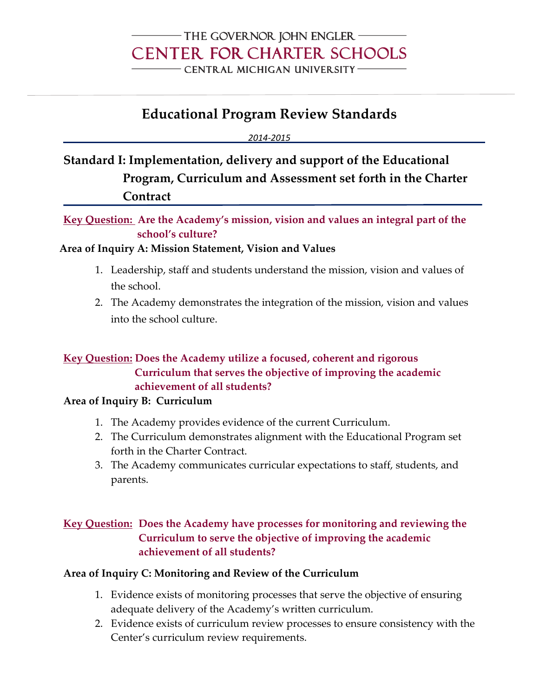## - THE GOVERNOR JOHN ENGLER -**CENTER FOR CHARTER SCHOOLS** CENTRAL MICHIGAN UNIVERSITY-

# **Educational Program Review Standards**

*2014-2015*

**Standard I: Implementation, delivery and support of the Educational Program, Curriculum and Assessment set forth in the Charter Contract**

**Key Question: Are the Academy's mission, vision and values an integral part of the school's culture?** 

### **Area of Inquiry A: Mission Statement, Vision and Values**

- 1. Leadership, staff and students understand the mission, vision and values of the school.
- 2. The Academy demonstrates the integration of the mission, vision and values into the school culture.

### **Key Question: Does the Academy utilize a focused, coherent and rigorous Curriculum that serves the objective of improving the academic achievement of all students?**

#### **Area of Inquiry B: Curriculum**

- 1. The Academy provides evidence of the current Curriculum.
- 2. The Curriculum demonstrates alignment with the Educational Program set forth in the Charter Contract.
- 3. The Academy communicates curricular expectations to staff, students, and parents.

## **Key Question: Does the Academy have processes for monitoring and reviewing the Curriculum to serve the objective of improving the academic achievement of all students?**

### **Area of Inquiry C: Monitoring and Review of the Curriculum**

- 1. Evidence exists of monitoring processes that serve the objective of ensuring adequate delivery of the Academy's written curriculum.
- 2. Evidence exists of curriculum review processes to ensure consistency with the Center's curriculum review requirements.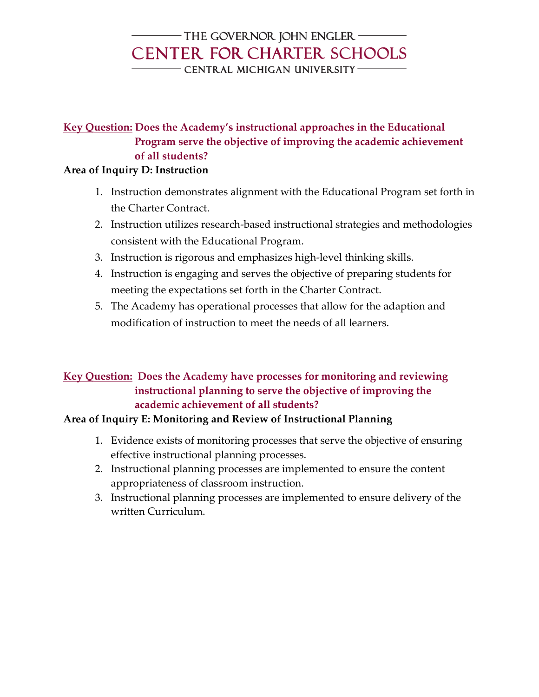## - THE GOVERNOR JOHN ENGLER -**CENTER FOR CHARTER SCHOOLS** - CENTRAL MICHIGAN UNIVERSITY-

## **Key Question: Does the Academy's instructional approaches in the Educational Program serve the objective of improving the academic achievement of all students?**

### **Area of Inquiry D: Instruction**

- 1. Instruction demonstrates alignment with the Educational Program set forth in the Charter Contract.
- 2. Instruction utilizes research-based instructional strategies and methodologies consistent with the Educational Program.
- 3. Instruction is rigorous and emphasizes high-level thinking skills.
- 4. Instruction is engaging and serves the objective of preparing students for meeting the expectations set forth in the Charter Contract.
- 5. The Academy has operational processes that allow for the adaption and modification of instruction to meet the needs of all learners.

### **Key Question: Does the Academy have processes for monitoring and reviewing instructional planning to serve the objective of improving the academic achievement of all students?**

## **Area of Inquiry E: Monitoring and Review of Instructional Planning**

- 1. Evidence exists of monitoring processes that serve the objective of ensuring effective instructional planning processes.
- 2. Instructional planning processes are implemented to ensure the content appropriateness of classroom instruction.
- 3. Instructional planning processes are implemented to ensure delivery of the written Curriculum.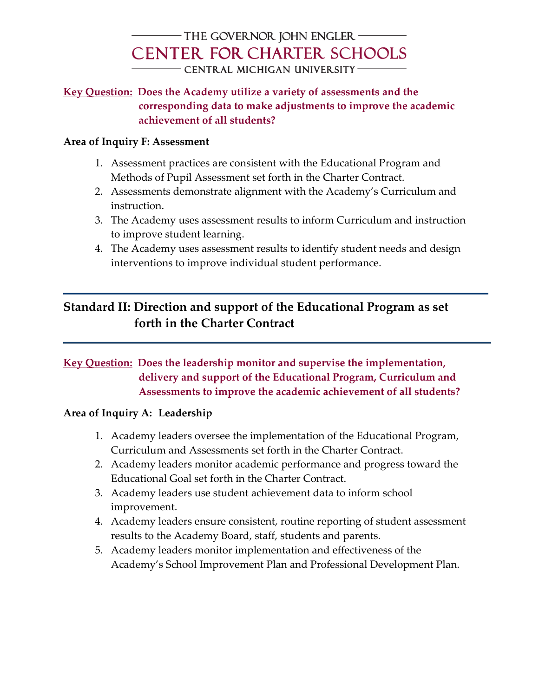## - THE GOVERNOR JOHN ENGLER **CENTER FOR CHARTER SCHOOLS** - CENTRAL MICHIGAN UNIVERSITY-

### **Key Question: Does the Academy utilize a variety of assessments and the corresponding data to make adjustments to improve the academic achievement of all students?**

### **Area of Inquiry F: Assessment**

- 1. Assessment practices are consistent with the Educational Program and Methods of Pupil Assessment set forth in the Charter Contract.
- 2. Assessments demonstrate alignment with the Academy's Curriculum and instruction.
- 3. The Academy uses assessment results to inform Curriculum and instruction to improve student learning.
- 4. The Academy uses assessment results to identify student needs and design interventions to improve individual student performance.

# **Standard II: Direction and support of the Educational Program as set forth in the Charter Contract**

## **Key Question: Does the leadership monitor and supervise the implementation, delivery and support of the Educational Program, Curriculum and Assessments to improve the academic achievement of all students?**

### **Area of Inquiry A: Leadership**

- 1. Academy leaders oversee the implementation of the Educational Program, Curriculum and Assessments set forth in the Charter Contract.
- 2. Academy leaders monitor academic performance and progress toward the Educational Goal set forth in the Charter Contract.
- 3. Academy leaders use student achievement data to inform school improvement.
- 4. Academy leaders ensure consistent, routine reporting of student assessment results to the Academy Board, staff, students and parents.
- 5. Academy leaders monitor implementation and effectiveness of the Academy's School Improvement Plan and Professional Development Plan.